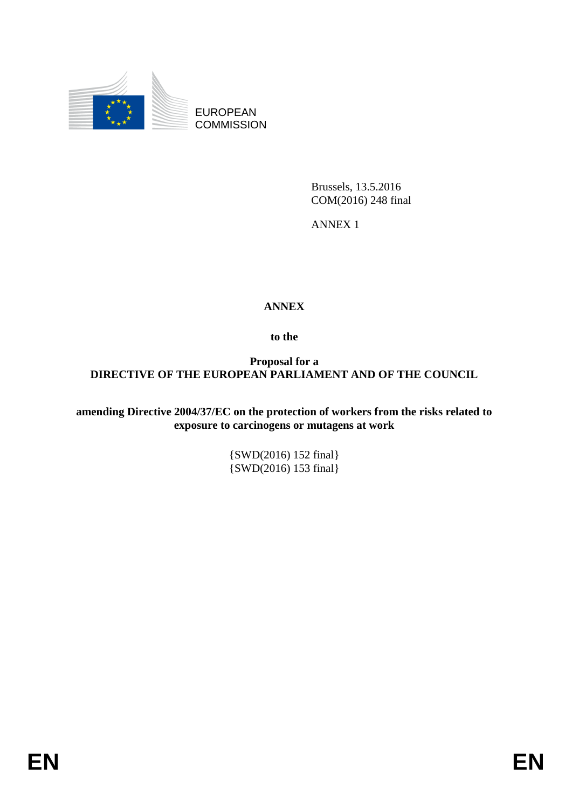

EUROPEAN **COMMISSION** 

> Brussels, 13.5.2016 COM(2016) 248 final

ANNEX 1

# **ANNEX**

**to the**

**Proposal for a DIRECTIVE OF THE EUROPEAN PARLIAMENT AND OF THE COUNCIL**

**amending Directive 2004/37/EC on the protection of workers from the risks related to exposure to carcinogens or mutagens at work** 

> {SWD(2016) 152 final} {SWD(2016) 153 final}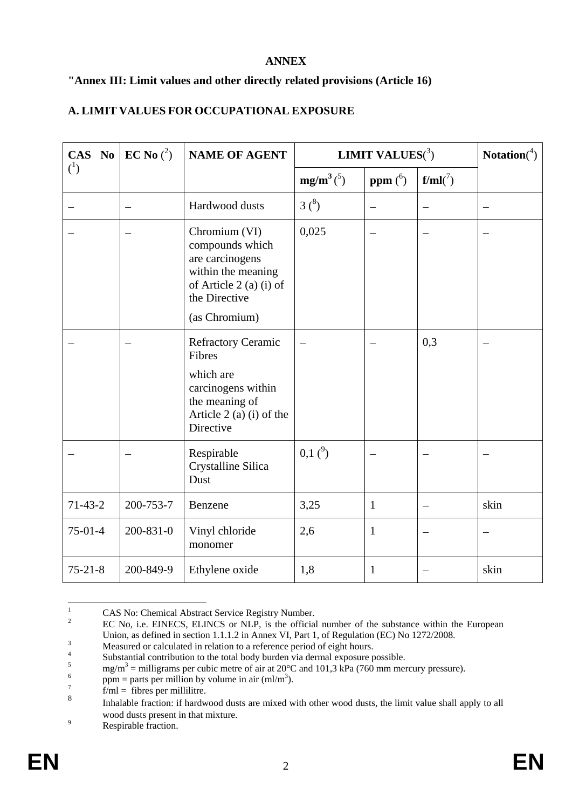#### **ANNEX**

### **"Annex III: Limit values and other directly related provisions (Article 16)**

### **A. LIMIT VALUES FOR OCCUPATIONAL EXPOSURE**

|                | CAS No EC No $(2)$ | <b>NAME OF AGENT</b>                                                                                                                   | <b>LIMIT VALUES</b> $(^3)$ |                    |            | <b>Notation</b> $(4)$ |
|----------------|--------------------|----------------------------------------------------------------------------------------------------------------------------------------|----------------------------|--------------------|------------|-----------------------|
| $\binom{1}{ }$ |                    |                                                                                                                                        | $mg/m^3(^5)$               | ppm $\binom{6}{1}$ | $f/ml(^7)$ |                       |
|                |                    | Hardwood dusts                                                                                                                         | 3 <sup>8</sup>             |                    |            |                       |
|                |                    | Chromium (VI)<br>compounds which<br>are carcinogens<br>within the meaning<br>of Article 2 (a) (i) of<br>the Directive<br>(as Chromium) | 0,025                      |                    |            |                       |
|                |                    | <b>Refractory Ceramic</b><br>Fibres<br>which are<br>carcinogens within<br>the meaning of<br>Article 2 (a) (i) of the<br>Directive      |                            |                    | 0,3        |                       |
|                |                    | Respirable<br>Crystalline Silica<br>Dust                                                                                               | 0,1 <sup>9</sup>           |                    |            |                       |
| $71-43-2$      | 200-753-7          | Benzene                                                                                                                                | 3,25                       | $\mathbf{1}$       |            | skin                  |
| $75-01-4$      | 200-831-0          | Vinyl chloride<br>monomer                                                                                                              | 2,6                        | $\mathbf{1}$       |            |                       |
| $75 - 21 - 8$  | 200-849-9          | Ethylene oxide                                                                                                                         | 1,8                        | $\mathbf{1}$       |            | skin                  |

 $\mathbf{1}$ <sup>1</sup> CAS No: Chemical Abstract Service Registry Number.<br><sup>2</sup> EC Ne is EINEGS ELINGS as NLD is the official

<sup>2</sup> EC No, i.e. EINECS, ELINCS or NLP, is the official number of the substance within the European Union, as defined in section 1.1.1.2 in Annex VI, Part 1, of Regulation (EC) No 1272/2008.

<sup>&</sup>lt;sup>3</sup><br>Measured or calculated in relation to a reference period of eight hours.

<sup>4</sup> Substantial contribution to the total body burden via dermal exposure possible.

<sup>&</sup>lt;sup>5</sup> mg/m<sup>3</sup> = milligrams per cubic metre of air at 20°C and 101,3 kPa (760 mm mercury pressure).

<sup>6</sup> ppm = parts per million by volume in air  ${\text{ (ml/m)}^3}$ .

<sup>7</sup>  $f/ml = fibres per millilitre.$ 

<sup>8</sup> Inhalable fraction: if hardwood dusts are mixed with other wood dusts, the limit value shall apply to all wood dusts present in that mixture.

<sup>&</sup>lt;sup>9</sup> Respirable fraction.